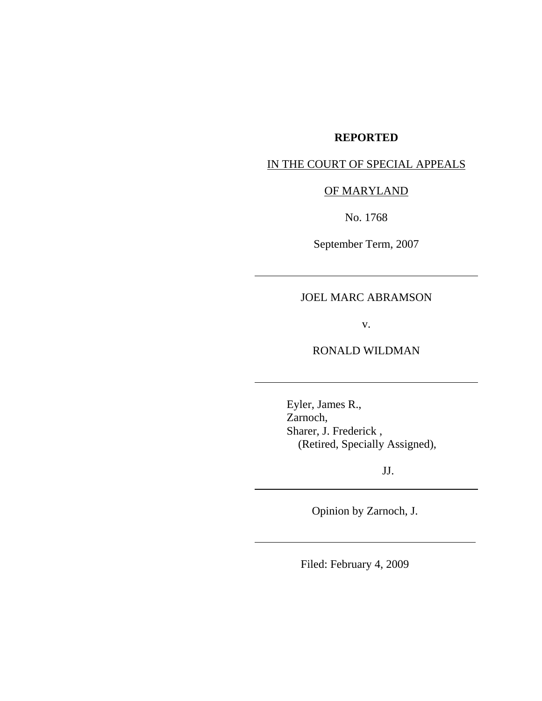# **REPORTED**

## IN THE COURT OF SPECIAL APPEALS

# OF MARYLAND

No. 1768

September Term, 2007

## JOEL MARC ABRAMSON

 $\overline{a}$ 

 $\overline{a}$ 

 $\overline{a}$ 

 $\overline{a}$ 

v.

RONALD WILDMAN

Eyler, James R., Zarnoch, Sharer, J. Frederick , (Retired, Specially Assigned),

JJ.

Opinion by Zarnoch, J.

Filed: February 4, 2009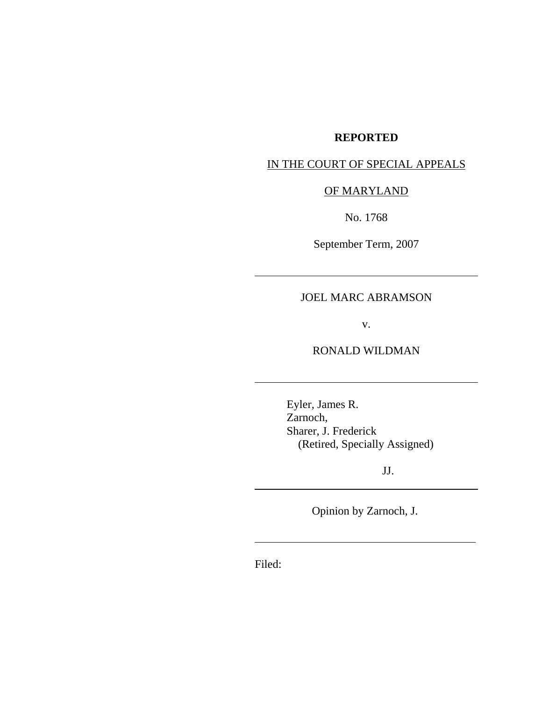## **REPORTED**

# IN THE COURT OF SPECIAL APPEALS

# OF MARYLAND

No. 1768

September Term, 2007

## JOEL MARC ABRAMSON

v.

RONALD WILDMAN

Eyler, James R. Zarnoch, Sharer, J. Frederick (Retired, Specially Assigned)

JJ.

Opinion by Zarnoch, J.

Filed:

 $\overline{a}$ 

 $\overline{a}$ 

 $\overline{a}$ 

 $\overline{a}$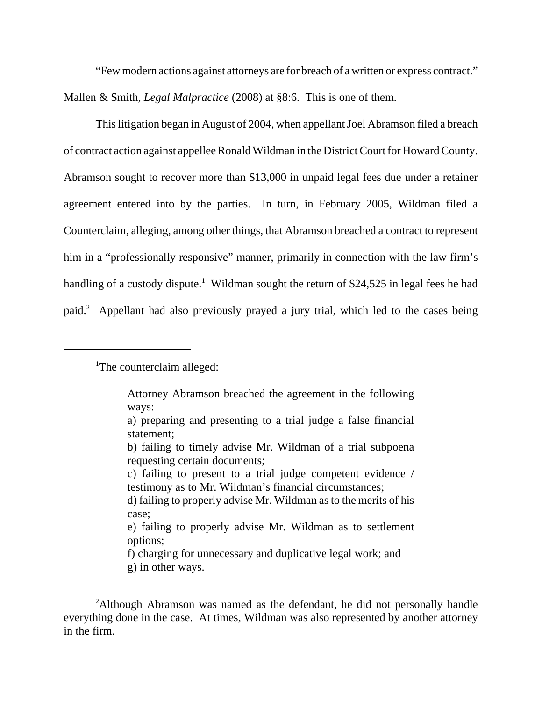"Few modern actions against attorneys are for breach of a written or express contract." Mallen & Smith, *Legal Malpractice* (2008) at §8:6. This is one of them.

This litigation began in August of 2004, when appellant Joel Abramson filed a breach of contract action against appellee Ronald Wildman in the District Court for Howard County. Abramson sought to recover more than \$13,000 in unpaid legal fees due under a retainer agreement entered into by the parties. In turn, in February 2005, Wildman filed a Counterclaim, alleging, among other things, that Abramson breached a contract to represent him in a "professionally responsive" manner, primarily in connection with the law firm's handling of a custody dispute.<sup>1</sup> Wildman sought the return of \$24,525 in legal fees he had paid.<sup>2</sup> Appellant had also previously prayed a jury trial, which led to the cases being

- a) preparing and presenting to a trial judge a false financial statement;
- b) failing to timely advise Mr. Wildman of a trial subpoena requesting certain documents;
- c) failing to present to a trial judge competent evidence / testimony as to Mr. Wildman's financial circumstances;
- d) failing to properly advise Mr. Wildman as to the merits of his case;
- e) failing to properly advise Mr. Wildman as to settlement options;
- f) charging for unnecessary and duplicative legal work; and g) in other ways.

<sup>2</sup>Although Abramson was named as the defendant, he did not personally handle everything done in the case. At times, Wildman was also represented by another attorney in the firm.

<sup>&</sup>lt;sup>1</sup>The counterclaim alleged:

Attorney Abramson breached the agreement in the following ways: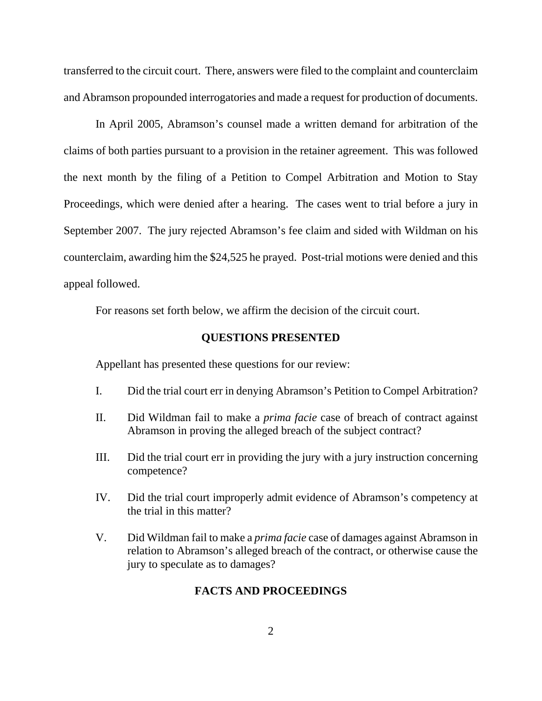transferred to the circuit court. There, answers were filed to the complaint and counterclaim and Abramson propounded interrogatories and made a request for production of documents.

In April 2005, Abramson's counsel made a written demand for arbitration of the claims of both parties pursuant to a provision in the retainer agreement. This was followed the next month by the filing of a Petition to Compel Arbitration and Motion to Stay Proceedings, which were denied after a hearing. The cases went to trial before a jury in September 2007. The jury rejected Abramson's fee claim and sided with Wildman on his counterclaim, awarding him the \$24,525 he prayed. Post-trial motions were denied and this appeal followed.

For reasons set forth below, we affirm the decision of the circuit court.

#### **QUESTIONS PRESENTED**

Appellant has presented these questions for our review:

- I. Did the trial court err in denying Abramson's Petition to Compel Arbitration?
- II. Did Wildman fail to make a *prima facie* case of breach of contract against Abramson in proving the alleged breach of the subject contract?
- III. Did the trial court err in providing the jury with a jury instruction concerning competence?
- IV. Did the trial court improperly admit evidence of Abramson's competency at the trial in this matter?
- V. Did Wildman fail to make a *prima facie* case of damages against Abramson in relation to Abramson's alleged breach of the contract, or otherwise cause the jury to speculate as to damages?

### **FACTS AND PROCEEDINGS**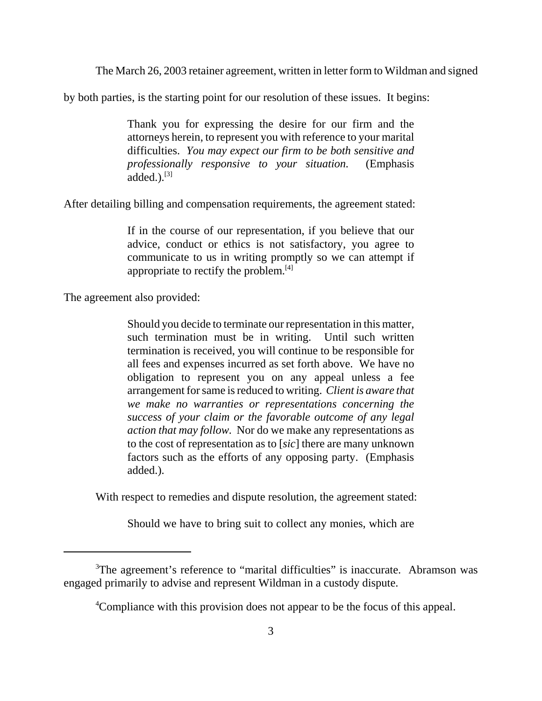The March 26, 2003 retainer agreement, written in letter form to Wildman and signed

by both parties, is the starting point for our resolution of these issues. It begins:

Thank you for expressing the desire for our firm and the attorneys herein, to represent you with reference to your marital difficulties. *You may expect our firm to be both sensitive and professionally responsive to your situation.* (Emphasis added.). $^{[3]}$ 

After detailing billing and compensation requirements, the agreement stated:

If in the course of our representation, if you believe that our advice, conduct or ethics is not satisfactory, you agree to communicate to us in writing promptly so we can attempt if appropriate to rectify the problem.<sup>[4]</sup>

The agreement also provided:

Should you decide to terminate our representation in this matter, such termination must be in writing. Until such written termination is received, you will continue to be responsible for all fees and expenses incurred as set forth above. We have no obligation to represent you on any appeal unless a fee arrangement for same is reduced to writing. *Client is aware that we make no warranties or representations concerning the success of your claim or the favorable outcome of any legal action that may follow.* Nor do we make any representations as to the cost of representation as to [*sic*] there are many unknown factors such as the efforts of any opposing party. (Emphasis added.).

With respect to remedies and dispute resolution, the agreement stated:

Should we have to bring suit to collect any monies, which are

<sup>&</sup>lt;sup>3</sup>The agreement's reference to "marital difficulties" is inaccurate. Abramson was engaged primarily to advise and represent Wildman in a custody dispute.

<sup>&</sup>lt;sup>4</sup>Compliance with this provision does not appear to be the focus of this appeal.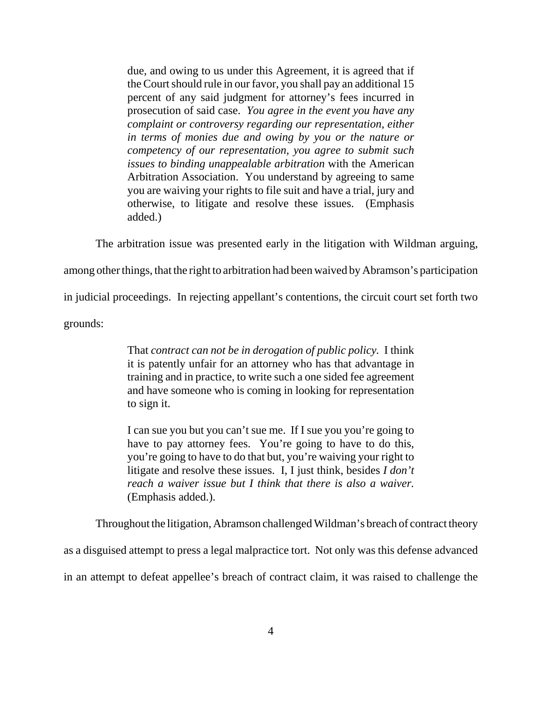due, and owing to us under this Agreement, it is agreed that if the Court should rule in our favor, you shall pay an additional 15 percent of any said judgment for attorney's fees incurred in prosecution of said case. *You agree in the event you have any complaint or controversy regarding our representation, either in terms of monies due and owing by you or the nature or competency of our representation, you agree to submit such issues to binding unappealable arbitration* with the American Arbitration Association. You understand by agreeing to same you are waiving your rights to file suit and have a trial, jury and otherwise, to litigate and resolve these issues. (Emphasis added.)

The arbitration issue was presented early in the litigation with Wildman arguing,

among other things, that the right to arbitration had been waived by Abramson's participation

in judicial proceedings. In rejecting appellant's contentions, the circuit court set forth two

grounds:

That *contract can not be in derogation of public policy.* I think it is patently unfair for an attorney who has that advantage in training and in practice, to write such a one sided fee agreement and have someone who is coming in looking for representation to sign it.

I can sue you but you can't sue me. If I sue you you're going to have to pay attorney fees. You're going to have to do this, you're going to have to do that but, you're waiving your right to litigate and resolve these issues. I, I just think, besides *I don't reach a waiver issue but I think that there is also a waiver.* (Emphasis added.).

Throughout the litigation, Abramson challenged Wildman's breach of contract theory

as a disguised attempt to press a legal malpractice tort. Not only was this defense advanced

in an attempt to defeat appellee's breach of contract claim, it was raised to challenge the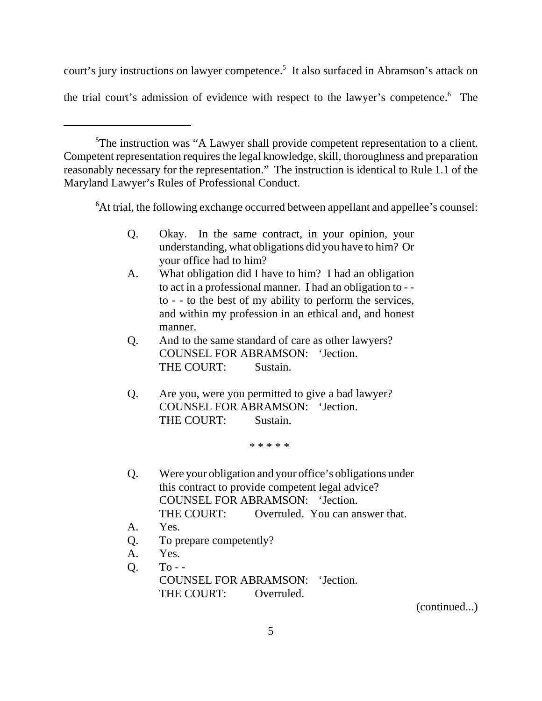court's jury instructions on lawyer competence.<sup>5</sup> It also surfaced in Abramson's attack on the trial court's admission of evidence with respect to the lawyer's competence.<sup>6</sup> The

<sup>6</sup>At trial, the following exchange occurred between appellant and appellee's counsel:

- Q. Okay. In the same contract, in your opinion, your understanding, what obligations did you have to him? Or your office had to him?
- A. What obligation did I have to him? I had an obligation to act in a professional manner. I had an obligation to - to - - to the best of my ability to perform the services, and within my profession in an ethical and, and honest manner.
- Q. And to the same standard of care as other lawyers? COUNSEL FOR ABRAMSON: 'Jection. THE COURT: Sustain.
- Q. Are you, were you permitted to give a bad lawyer? COUNSEL FOR ABRAMSON: 'Jection. THE COURT: Sustain.

\* \* \* \* \*

- Q. Were your obligation and your office's obligations under this contract to provide competent legal advice? COUNSEL FOR ABRAMSON: 'Jection. THE COURT: Overruled. You can answer that.
- A. Yes.
- Q. To prepare competently?
- A. Yes.
- $Q.$  To -COUNSEL FOR ABRAMSON: 'Jection. THE COURT: Overruled.

(continued...)

<sup>&</sup>lt;sup>5</sup>The instruction was "A Lawyer shall provide competent representation to a client. Competent representation requires the legal knowledge, skill, thoroughness and preparation reasonably necessary for the representation." The instruction is identical to Rule 1.1 of the Maryland Lawyer's Rules of Professional Conduct.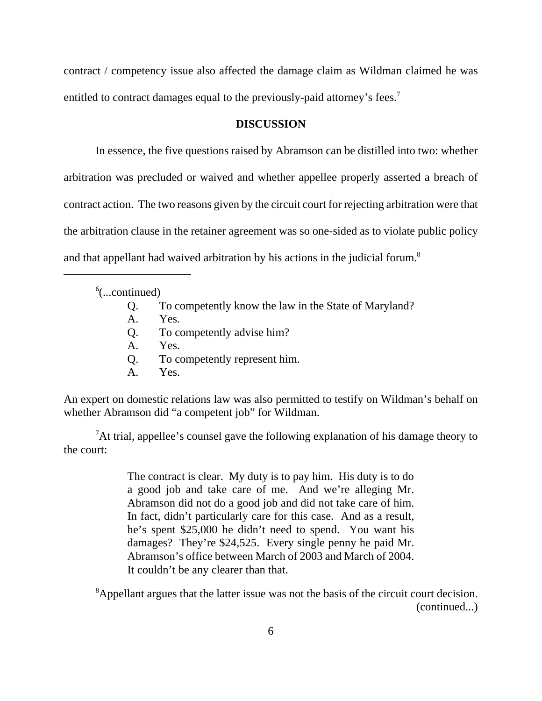contract / competency issue also affected the damage claim as Wildman claimed he was entitled to contract damages equal to the previously-paid attorney's fees.<sup>7</sup>

#### **DISCUSSION**

In essence, the five questions raised by Abramson can be distilled into two: whether arbitration was precluded or waived and whether appellee properly asserted a breach of contract action. The two reasons given by the circuit court for rejecting arbitration were that the arbitration clause in the retainer agreement was so one-sided as to violate public policy and that appellant had waived arbitration by his actions in the judicial forum.8

 $6$ (...continued)

- Q. To competently know the law in the State of Maryland?
- A. Yes.
- Q. To competently advise him?
- A. Yes.
- Q. To competently represent him.
- A. Yes.

An expert on domestic relations law was also permitted to testify on Wildman's behalf on whether Abramson did "a competent job" for Wildman.

<sup>7</sup>At trial, appellee's counsel gave the following explanation of his damage theory to the court:

> The contract is clear. My duty is to pay him. His duty is to do a good job and take care of me. And we're alleging Mr. Abramson did not do a good job and did not take care of him. In fact, didn't particularly care for this case. And as a result, he's spent \$25,000 he didn't need to spend. You want his damages? They're \$24,525. Every single penny he paid Mr. Abramson's office between March of 2003 and March of 2004. It couldn't be any clearer than that.

<sup>8</sup>Appellant argues that the latter issue was not the basis of the circuit court decision. (continued...)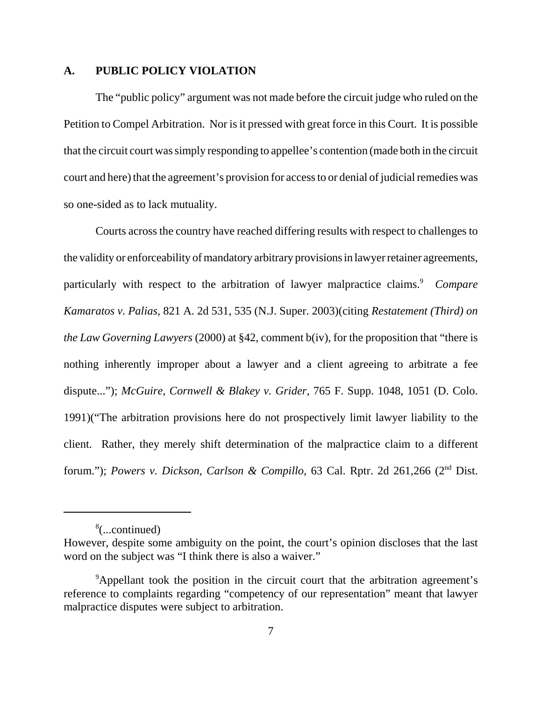#### **A. PUBLIC POLICY VIOLATION**

The "public policy" argument was not made before the circuit judge who ruled on the Petition to Compel Arbitration. Nor is it pressed with great force in this Court. It is possible that the circuit court was simply responding to appellee's contention (made both in the circuit court and here) that the agreement's provision for access to or denial of judicial remedies was so one-sided as to lack mutuality.

Courts across the country have reached differing results with respect to challenges to the validity or enforceability of mandatory arbitrary provisions in lawyer retainer agreements, particularly with respect to the arbitration of lawyer malpractice claims.<sup>9</sup> Compare *Kamaratos v. Palias,* 821 A. 2d 531, 535 (N.J. Super. 2003)(citing *Restatement (Third) on the Law Governing Lawyers* (2000) at §42, comment b(iv), for the proposition that "there is nothing inherently improper about a lawyer and a client agreeing to arbitrate a fee dispute..."); *McGuire, Cornwell & Blakey v. Grider,* 765 F. Supp. 1048, 1051 (D. Colo. 1991)("The arbitration provisions here do not prospectively limit lawyer liability to the client. Rather, they merely shift determination of the malpractice claim to a different forum."); *Powers v. Dickson, Carlson & Compillo*, 63 Cal. Rptr. 2d 261,266 (2nd Dist.

<sup>8</sup> (...continued)

However, despite some ambiguity on the point, the court's opinion discloses that the last word on the subject was "I think there is also a waiver."

<sup>&</sup>lt;sup>9</sup>Appellant took the position in the circuit court that the arbitration agreement's reference to complaints regarding "competency of our representation" meant that lawyer malpractice disputes were subject to arbitration.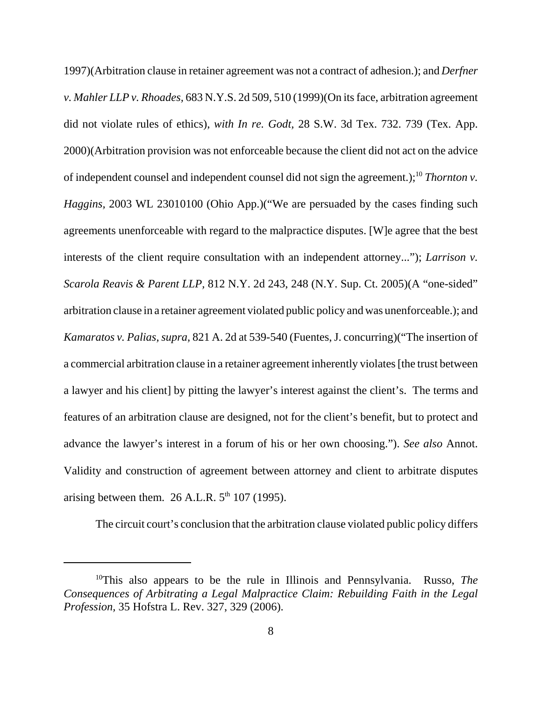1997)(Arbitration clause in retainer agreement was not a contract of adhesion.); and *Derfner v. Mahler LLP v. Rhoades,* 683 N.Y.S. 2d 509, 510 (1999)(On its face, arbitration agreement did not violate rules of ethics), *with In re. Godt,* 28 S.W. 3d Tex. 732. 739 (Tex. App. 2000)(Arbitration provision was not enforceable because the client did not act on the advice of independent counsel and independent counsel did not sign the agreement.);10 *Thornton v. Haggins,* 2003 WL 23010100 (Ohio App.)("We are persuaded by the cases finding such agreements unenforceable with regard to the malpractice disputes. [W]e agree that the best interests of the client require consultation with an independent attorney..."); *Larrison v. Scarola Reavis & Parent LLP,* 812 N.Y. 2d 243, 248 (N.Y. Sup. Ct. 2005)(A "one-sided" arbitration clause in a retainer agreement violated public policy and was unenforceable.); and *Kamaratos v. Palias, supra,* 821 A. 2d at 539-540 (Fuentes, J. concurring)("The insertion of a commercial arbitration clause in a retainer agreement inherently violates [the trust between a lawyer and his client] by pitting the lawyer's interest against the client's. The terms and features of an arbitration clause are designed, not for the client's benefit, but to protect and advance the lawyer's interest in a forum of his or her own choosing."). *See also* Annot. Validity and construction of agreement between attorney and client to arbitrate disputes arising between them.  $26$  A.L.R.  $5<sup>th</sup>$  107 (1995).

The circuit court's conclusion that the arbitration clause violated public policy differs

<sup>10</sup>This also appears to be the rule in Illinois and Pennsylvania. Russo, *The Consequences of Arbitrating a Legal Malpractice Claim: Rebuilding Faith in the Legal Profession,* 35 Hofstra L. Rev. 327, 329 (2006).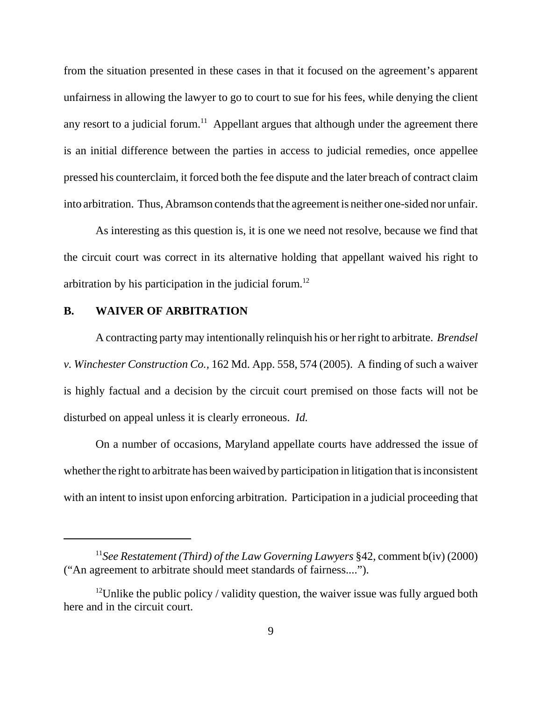from the situation presented in these cases in that it focused on the agreement's apparent unfairness in allowing the lawyer to go to court to sue for his fees, while denying the client any resort to a judicial forum.<sup>11</sup> Appellant argues that although under the agreement there is an initial difference between the parties in access to judicial remedies, once appellee pressed his counterclaim, it forced both the fee dispute and the later breach of contract claim into arbitration. Thus, Abramson contends that the agreement is neither one-sided nor unfair.

As interesting as this question is, it is one we need not resolve, because we find that the circuit court was correct in its alternative holding that appellant waived his right to arbitration by his participation in the judicial forum.<sup>12</sup>

## **B. WAIVER OF ARBITRATION**

A contracting party may intentionally relinquish his or her right to arbitrate. *Brendsel v. Winchester Construction Co.,* 162 Md. App. 558, 574 (2005). A finding of such a waiver is highly factual and a decision by the circuit court premised on those facts will not be disturbed on appeal unless it is clearly erroneous. *Id.*

On a number of occasions, Maryland appellate courts have addressed the issue of whether the right to arbitrate has been waived by participation in litigation that is inconsistent with an intent to insist upon enforcing arbitration. Participation in a judicial proceeding that

<sup>11</sup>*See Restatement (Third) of the Law Governing Lawyers* §42, comment b(iv) (2000) ("An agreement to arbitrate should meet standards of fairness....").

<sup>&</sup>lt;sup>12</sup>Unlike the public policy / validity question, the waiver issue was fully argued both here and in the circuit court.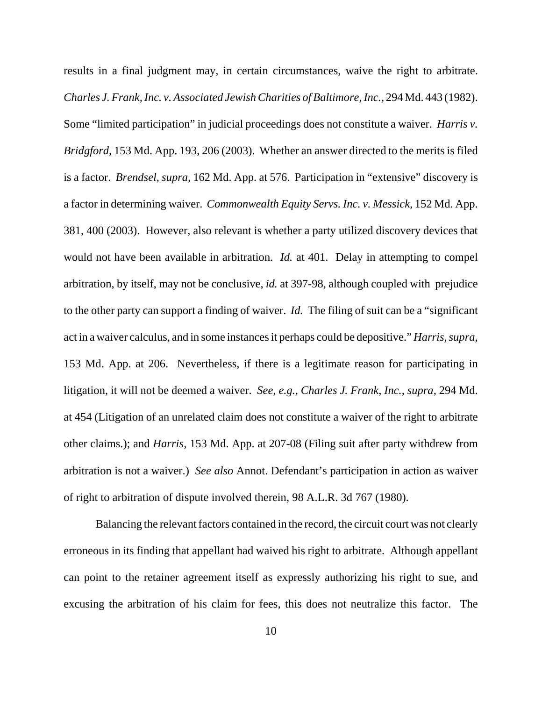results in a final judgment may, in certain circumstances, waive the right to arbitrate. *Charles J. Frank, Inc. v. Associated Jewish Charities of Baltimore, Inc.,* 294 Md. 443 (1982). Some "limited participation" in judicial proceedings does not constitute a waiver. *Harris v. Bridgford,* 153 Md. App. 193, 206 (2003). Whether an answer directed to the merits is filed is a factor. *Brendsel, supra,* 162 Md. App. at 576. Participation in "extensive" discovery is a factor in determining waiver. *Commonwealth Equity Servs. Inc. v. Messick,* 152 Md. App. 381, 400 (2003). However, also relevant is whether a party utilized discovery devices that would not have been available in arbitration. *Id.* at 401. Delay in attempting to compel arbitration, by itself, may not be conclusive, *id.* at 397-98, although coupled with prejudice to the other party can support a finding of waiver. *Id.* The filing of suit can be a "significant act in a waiver calculus, and in some instances it perhaps could be depositive." *Harris, supra,* 153 Md. App. at 206. Nevertheless, if there is a legitimate reason for participating in litigation, it will not be deemed a waiver. *See, e.g., Charles J. Frank, Inc., supra,* 294 Md. at 454 (Litigation of an unrelated claim does not constitute a waiver of the right to arbitrate other claims.); and *Harris,* 153 Md. App. at 207-08 (Filing suit after party withdrew from arbitration is not a waiver.) *See also* Annot. Defendant's participation in action as waiver of right to arbitration of dispute involved therein, 98 A.L.R. 3d 767 (1980).

Balancing the relevant factors contained in the record, the circuit court was not clearly erroneous in its finding that appellant had waived his right to arbitrate. Although appellant can point to the retainer agreement itself as expressly authorizing his right to sue, and excusing the arbitration of his claim for fees, this does not neutralize this factor. The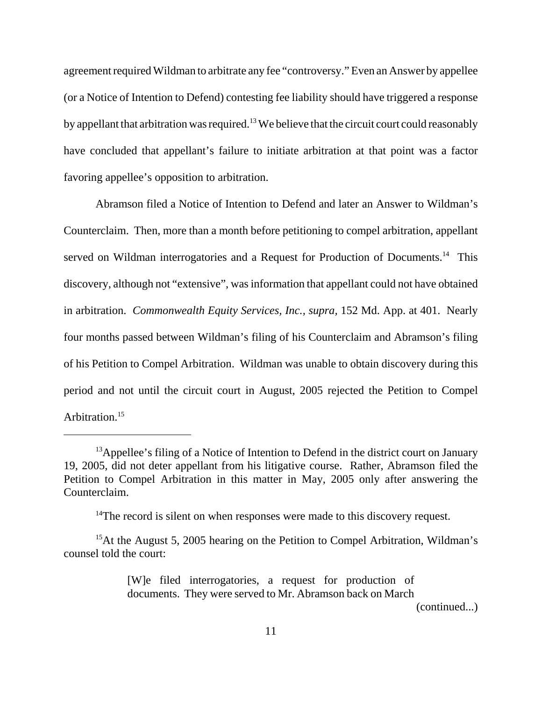agreement required Wildman to arbitrate any fee "controversy." Even an Answer by appellee (or a Notice of Intention to Defend) contesting fee liability should have triggered a response by appellant that arbitration was required.<sup>13</sup> We believe that the circuit court could reasonably have concluded that appellant's failure to initiate arbitration at that point was a factor favoring appellee's opposition to arbitration.

Abramson filed a Notice of Intention to Defend and later an Answer to Wildman's Counterclaim. Then, more than a month before petitioning to compel arbitration, appellant served on Wildman interrogatories and a Request for Production of Documents.<sup>14</sup> This discovery, although not "extensive", was information that appellant could not have obtained in arbitration. *Commonwealth Equity Services, Inc., supra,* 152 Md. App. at 401. Nearly four months passed between Wildman's filing of his Counterclaim and Abramson's filing of his Petition to Compel Arbitration. Wildman was unable to obtain discovery during this period and not until the circuit court in August, 2005 rejected the Petition to Compel Arbitration.<sup>15</sup>

(continued...)

 $<sup>13</sup>$ Appellee's filing of a Notice of Intention to Defend in the district court on January</sup> 19, 2005, did not deter appellant from his litigative course. Rather, Abramson filed the Petition to Compel Arbitration in this matter in May, 2005 only after answering the Counterclaim.

 $14$ The record is silent on when responses were made to this discovery request.

<sup>&</sup>lt;sup>15</sup>At the August 5, 2005 hearing on the Petition to Compel Arbitration, Wildman's counsel told the court:

<sup>[</sup>W]e filed interrogatories, a request for production of documents. They were served to Mr. Abramson back on March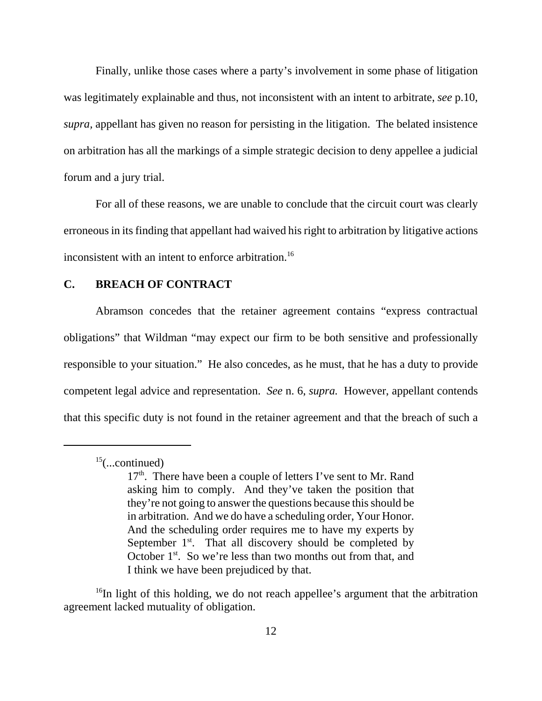Finally, unlike those cases where a party's involvement in some phase of litigation was legitimately explainable and thus, not inconsistent with an intent to arbitrate, *see* p.10, *supra,* appellant has given no reason for persisting in the litigation. The belated insistence on arbitration has all the markings of a simple strategic decision to deny appellee a judicial forum and a jury trial.

For all of these reasons, we are unable to conclude that the circuit court was clearly erroneous in its finding that appellant had waived his right to arbitration by litigative actions inconsistent with an intent to enforce arbitration.<sup>16</sup>

## **C. BREACH OF CONTRACT**

Abramson concedes that the retainer agreement contains "express contractual obligations" that Wildman "may expect our firm to be both sensitive and professionally responsible to your situation." He also concedes, as he must, that he has a duty to provide competent legal advice and representation. *See* n. 6, *supra.* However, appellant contends that this specific duty is not found in the retainer agreement and that the breach of such a

 $15$ (...continued)

 $17<sup>th</sup>$ . There have been a couple of letters I've sent to Mr. Rand asking him to comply. And they've taken the position that they're not going to answer the questions because this should be in arbitration. And we do have a scheduling order, Your Honor. And the scheduling order requires me to have my experts by September  $1<sup>st</sup>$ . That all discovery should be completed by October 1<sup>st</sup>. So we're less than two months out from that, and I think we have been prejudiced by that.

<sup>&</sup>lt;sup>16</sup>In light of this holding, we do not reach appellee's argument that the arbitration agreement lacked mutuality of obligation.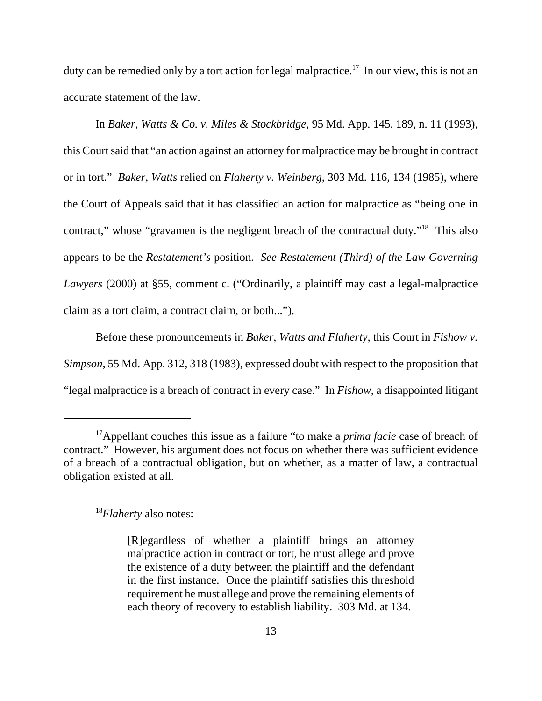duty can be remedied only by a tort action for legal malpractice.<sup>17</sup> In our view, this is not an accurate statement of the law.

In *Baker, Watts & Co. v. Miles & Stockbridge,* 95 Md. App. 145, 189, n. 11 (1993), this Court said that "an action against an attorney for malpractice may be brought in contract or in tort." *Baker, Watts* relied on *Flaherty v. Weinberg,* 303 Md. 116, 134 (1985), where the Court of Appeals said that it has classified an action for malpractice as "being one in contract," whose "gravamen is the negligent breach of the contractual duty."<sup>18</sup> This also appears to be the *Restatement's* position. *See Restatement (Third) of the Law Governing Lawyers* (2000) at §55, comment c. ("Ordinarily, a plaintiff may cast a legal-malpractice claim as a tort claim, a contract claim, or both...").

Before these pronouncements in *Baker, Watts and Flaherty,* this Court in *Fishow v. Simpson,* 55 Md. App. 312, 318 (1983), expressed doubt with respect to the proposition that "legal malpractice is a breach of contract in every case." In *Fishow*, a disappointed litigant

<sup>18</sup>*Flaherty* also notes:

<sup>17</sup>Appellant couches this issue as a failure "to make a *prima facie* case of breach of contract." However, his argument does not focus on whether there was sufficient evidence of a breach of a contractual obligation, but on whether, as a matter of law, a contractual obligation existed at all.

<sup>[</sup>R]egardless of whether a plaintiff brings an attorney malpractice action in contract or tort, he must allege and prove the existence of a duty between the plaintiff and the defendant in the first instance. Once the plaintiff satisfies this threshold requirement he must allege and prove the remaining elements of each theory of recovery to establish liability. 303 Md. at 134.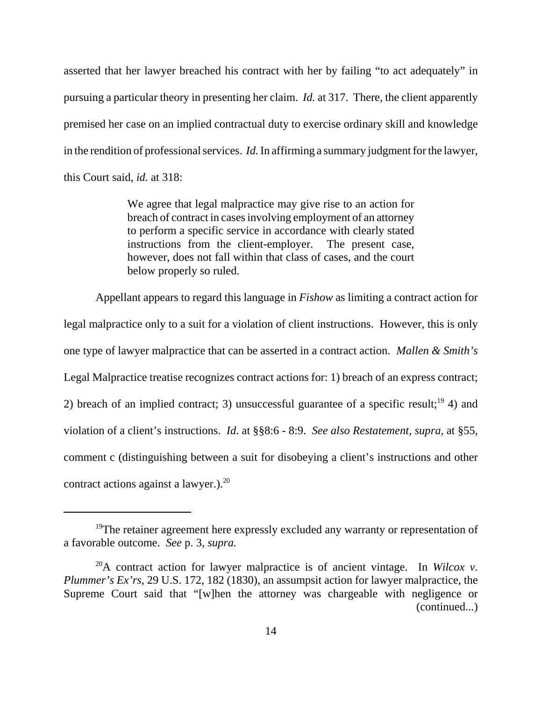asserted that her lawyer breached his contract with her by failing "to act adequately" in pursuing a particular theory in presenting her claim. *Id.* at 317. There, the client apparently premised her case on an implied contractual duty to exercise ordinary skill and knowledge in the rendition of professional services. *Id.* In affirming a summary judgment for the lawyer, this Court said, *id.* at 318:

> We agree that legal malpractice may give rise to an action for breach of contract in cases involving employment of an attorney to perform a specific service in accordance with clearly stated instructions from the client-employer. The present case, however, does not fall within that class of cases, and the court below properly so ruled.

Appellant appears to regard this language in *Fishow* as limiting a contract action for legal malpractice only to a suit for a violation of client instructions. However, this is only one type of lawyer malpractice that can be asserted in a contract action. *Mallen & Smith's* Legal Malpractice treatise recognizes contract actions for: 1) breach of an express contract; 2) breach of an implied contract; 3) unsuccessful guarantee of a specific result;<sup>19</sup> 4) and violation of a client's instructions. *Id*. at §§8:6 - 8:9. *See also Restatement, supra,* at §55, comment c (distinguishing between a suit for disobeying a client's instructions and other contract actions against a lawyer.). $^{20}$ 

<sup>&</sup>lt;sup>19</sup>The retainer agreement here expressly excluded any warranty or representation of a favorable outcome. *See* p. 3, *supra.*

<sup>20</sup>A contract action for lawyer malpractice is of ancient vintage. In *Wilcox v. Plummer's Ex'rs,* 29 U.S. 172, 182 (1830), an assumpsit action for lawyer malpractice, the Supreme Court said that "[w]hen the attorney was chargeable with negligence or (continued...)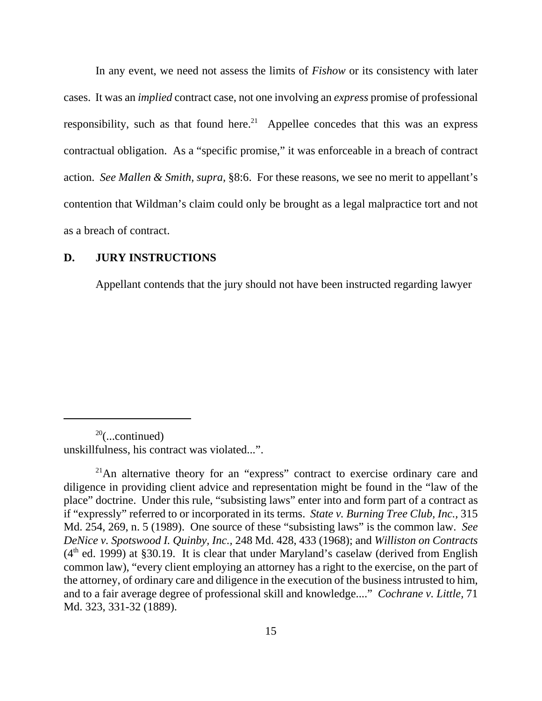In any event, we need not assess the limits of *Fishow* or its consistency with later cases. It was an *implied* contract case, not one involving an *express* promise of professional responsibility, such as that found here.<sup>21</sup> Appellee concedes that this was an express contractual obligation. As a "specific promise," it was enforceable in a breach of contract action. *See Mallen & Smith, supra,* §8:6. For these reasons, we see no merit to appellant's contention that Wildman's claim could only be brought as a legal malpractice tort and not as a breach of contract.

### **D. JURY INSTRUCTIONS**

Appellant contends that the jury should not have been instructed regarding lawyer

 $20$ (...continued) unskillfulness, his contract was violated...".

 $^{21}$ An alternative theory for an "express" contract to exercise ordinary care and diligence in providing client advice and representation might be found in the "law of the place" doctrine. Under this rule, "subsisting laws" enter into and form part of a contract as if "expressly" referred to or incorporated in its terms. *State v. Burning Tree Club, Inc.,* 315 Md. 254, 269, n. 5 (1989). One source of these "subsisting laws" is the common law. *See DeNice v. Spotswood I. Quinby, Inc.,* 248 Md. 428, 433 (1968); and *Williston on Contracts*  $(4<sup>th</sup>$  ed. 1999) at §30.19. It is clear that under Maryland's caselaw (derived from English common law), "every client employing an attorney has a right to the exercise, on the part of the attorney, of ordinary care and diligence in the execution of the business intrusted to him, and to a fair average degree of professional skill and knowledge...." *Cochrane v. Little,* 71 Md. 323, 331-32 (1889).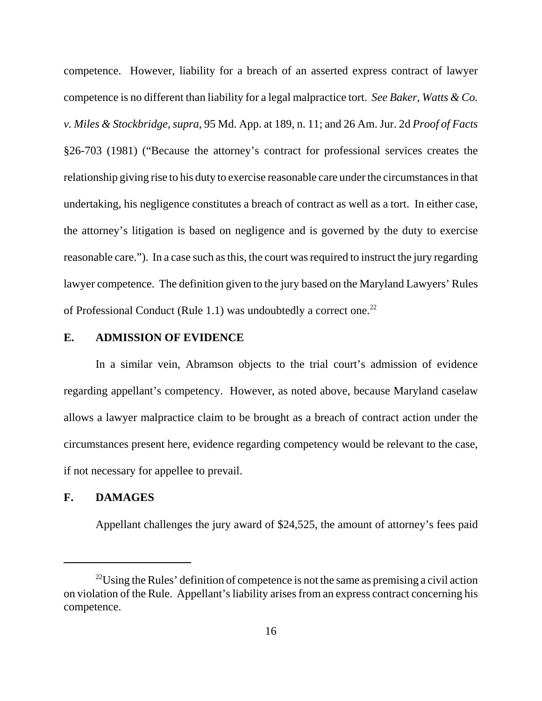competence. However, liability for a breach of an asserted express contract of lawyer competence is no different than liability for a legal malpractice tort. *See Baker, Watts & Co. v. Miles & Stockbridge, supra,* 95 Md. App. at 189, n. 11; and 26 Am. Jur. 2d *Proof of Facts* §26-703 (1981) ("Because the attorney's contract for professional services creates the relationship giving rise to his duty to exercise reasonable care under the circumstances in that undertaking, his negligence constitutes a breach of contract as well as a tort. In either case, the attorney's litigation is based on negligence and is governed by the duty to exercise reasonable care."). In a case such as this, the court was required to instruct the jury regarding lawyer competence. The definition given to the jury based on the Maryland Lawyers' Rules of Professional Conduct (Rule 1.1) was undoubtedly a correct one.<sup>22</sup>

### **E. ADMISSION OF EVIDENCE**

In a similar vein, Abramson objects to the trial court's admission of evidence regarding appellant's competency. However, as noted above, because Maryland caselaw allows a lawyer malpractice claim to be brought as a breach of contract action under the circumstances present here, evidence regarding competency would be relevant to the case, if not necessary for appellee to prevail.

## **F. DAMAGES**

Appellant challenges the jury award of \$24,525, the amount of attorney's fees paid

 $^{22}$ Using the Rules' definition of competence is not the same as premising a civil action on violation of the Rule. Appellant's liability arises from an express contract concerning his competence.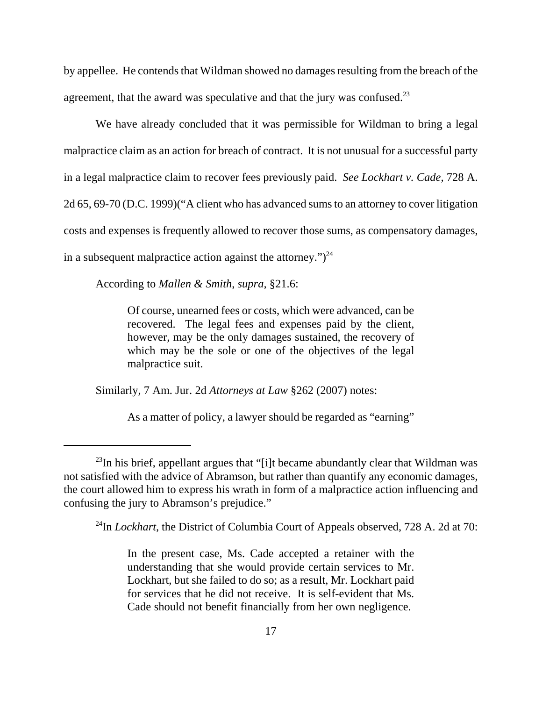by appellee. He contends that Wildman showed no damages resulting from the breach of the agreement, that the award was speculative and that the jury was confused.<sup>23</sup>

We have already concluded that it was permissible for Wildman to bring a legal malpractice claim as an action for breach of contract. It is not unusual for a successful party in a legal malpractice claim to recover fees previously paid. *See Lockhart v. Cade,* 728 A. 2d 65, 69-70 (D.C. 1999)("A client who has advanced sums to an attorney to cover litigation costs and expenses is frequently allowed to recover those sums, as compensatory damages, in a subsequent malpractice action against the attorney." $)^{24}$ 

According to *Mallen & Smith*, *supra,* §21.6:

Of course, unearned fees or costs, which were advanced, can be recovered. The legal fees and expenses paid by the client, however, may be the only damages sustained, the recovery of which may be the sole or one of the objectives of the legal malpractice suit.

Similarly, 7 Am. Jur. 2d *Attorneys at Law* §262 (2007) notes:

As a matter of policy, a lawyer should be regarded as "earning"

<sup>24</sup>In *Lockhart*, the District of Columbia Court of Appeals observed, 728 A. 2d at 70:

In the present case, Ms. Cade accepted a retainer with the understanding that she would provide certain services to Mr. Lockhart, but she failed to do so; as a result, Mr. Lockhart paid for services that he did not receive. It is self-evident that Ms. Cade should not benefit financially from her own negligence.

 $^{23}$ In his brief, appellant argues that "[i]t became abundantly clear that Wildman was not satisfied with the advice of Abramson, but rather than quantify any economic damages, the court allowed him to express his wrath in form of a malpractice action influencing and confusing the jury to Abramson's prejudice."